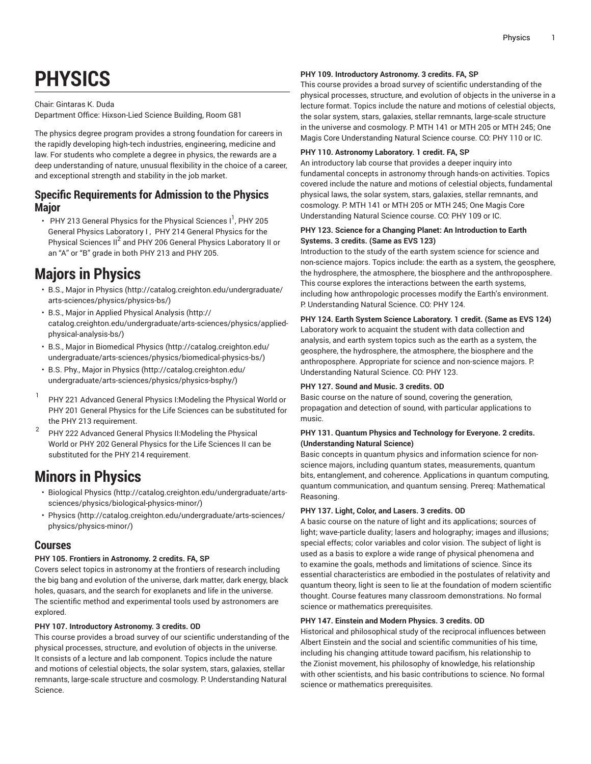# **PHYSICS**

# Chair: Gintaras K. Duda

Department Office: Hixson-Lied Science Building, Room G81

The physics degree program provides a strong foundation for careers in the rapidly developing high-tech industries, engineering, medicine and law. For students who complete a degree in physics, the rewards are a deep understanding of nature, unusual flexibility in the choice of a career, and exceptional strength and stability in the job market.

# **Specific Requirements for Admission to the Physics Major**

• PHY 213 General Physics for the Physical Sciences I<sup>1</sup>, PHY 205 General Physics Laboratory I , PHY 214 General Physics for the Physical Sciences II<sup>2</sup> and PHY 206 General Physics Laboratory II or an "A" or "B" grade in both PHY 213 and PHY 205.

# **Majors in Physics**

- [B.S., Major in Physics](http://catalog.creighton.edu/undergraduate/arts-sciences/physics/physics-bs/) [\(http://catalog.creighton.edu/undergraduate/](http://catalog.creighton.edu/undergraduate/arts-sciences/physics/physics-bs/) [arts-sciences/physics/physics-bs/](http://catalog.creighton.edu/undergraduate/arts-sciences/physics/physics-bs/))
- [B.S., Major in Applied Physical Analysis](http://catalog.creighton.edu/undergraduate/arts-sciences/physics/applied-physical-analysis-bs/) ([http://](http://catalog.creighton.edu/undergraduate/arts-sciences/physics/applied-physical-analysis-bs/) [catalog.creighton.edu/undergraduate/arts-sciences/physics/applied](http://catalog.creighton.edu/undergraduate/arts-sciences/physics/applied-physical-analysis-bs/)[physical-analysis-bs/](http://catalog.creighton.edu/undergraduate/arts-sciences/physics/applied-physical-analysis-bs/))
- [B.S., Major in Biomedical Physics \(http://catalog.creighton.edu/](http://catalog.creighton.edu/undergraduate/arts-sciences/physics/biomedical-physics-bs/) [undergraduate/arts-sciences/physics/biomedical-physics-bs/](http://catalog.creighton.edu/undergraduate/arts-sciences/physics/biomedical-physics-bs/))
- B.S. Phy., Major in [Physics \(http://catalog.creighton.edu/](http://catalog.creighton.edu/undergraduate/arts-sciences/physics/physics-bsphy/) [undergraduate/arts-sciences/physics/physics-bsphy/](http://catalog.creighton.edu/undergraduate/arts-sciences/physics/physics-bsphy/))
- 1 PHY 221 Advanced General Physics I:Modeling the Physical World or PHY 201 General Physics for the Life Sciences can be substituted for the PHY 213 requirement.
- 2 PHY 222 Advanced General Physics II:Modeling the Physical World or PHY 202 General Physics for the Life Sciences II can be substituted for the PHY 214 requirement.

# **Minors in Physics**

- [Biological Physics \(http://catalog.creighton.edu/undergraduate/arts](http://catalog.creighton.edu/undergraduate/arts-sciences/physics/biological-physics-minor/)[sciences/physics/biological-physics-minor/](http://catalog.creighton.edu/undergraduate/arts-sciences/physics/biological-physics-minor/))
- [Physics](http://catalog.creighton.edu/undergraduate/arts-sciences/physics/physics-minor/) ([http://catalog.creighton.edu/undergraduate/arts-sciences/](http://catalog.creighton.edu/undergraduate/arts-sciences/physics/physics-minor/) [physics/physics-minor/](http://catalog.creighton.edu/undergraduate/arts-sciences/physics/physics-minor/))

# **Courses**

# **PHY 105. Frontiers in Astronomy. 2 credits. FA, SP**

Covers select topics in astronomy at the frontiers of research including the big bang and evolution of the universe, dark matter, dark energy, black holes, quasars, and the search for exoplanets and life in the universe. The scientific method and experimental tools used by astronomers are explored.

# **PHY 107. Introductory Astronomy. 3 credits. OD**

This course provides a broad survey of our scientific understanding of the physical processes, structure, and evolution of objects in the universe. It consists of a lecture and lab component. Topics include the nature and motions of celestial objects, the solar system, stars, galaxies, stellar remnants, large-scale structure and cosmology. P: Understanding Natural Science.

# **PHY 109. Introductory Astronomy. 3 credits. FA, SP**

This course provides a broad survey of scientific understanding of the physical processes, structure, and evolution of objects in the universe in a lecture format. Topics include the nature and motions of celestial objects, the solar system, stars, galaxies, stellar remnants, large-scale structure in the universe and cosmology. P: MTH 141 or MTH 205 or MTH 245; One Magis Core Understanding Natural Science course. CO: PHY 110 or IC.

# **PHY 110. Astronomy Laboratory. 1 credit. FA, SP**

An introductory lab course that provides a deeper inquiry into fundamental concepts in astronomy through hands-on activities. Topics covered include the nature and motions of celestial objects, fundamental physical laws, the solar system, stars, galaxies, stellar remnants, and cosmology. P: MTH 141 or MTH 205 or MTH 245; One Magis Core Understanding Natural Science course. CO: PHY 109 or IC.

# **PHY 123. Science for a Changing Planet: An Introduction to Earth Systems. 3 credits. (Same as EVS 123)**

Introduction to the study of the earth system science for science and non-science majors. Topics include: the earth as a system, the geosphere, the hydrosphere, the atmosphere, the biosphere and the anthroposphere. This course explores the interactions between the earth systems, including how anthropologic processes modify the Earth's environment. P: Understanding Natural Science. CO: PHY 124.

# **PHY 124. Earth System Science Laboratory. 1 credit. (Same as EVS 124)**

Laboratory work to acquaint the student with data collection and analysis, and earth system topics such as the earth as a system, the geosphere, the hydrosphere, the atmosphere, the biosphere and the anthroposphere. Appropriate for science and non-science majors. P: Understanding Natural Science. CO: PHY 123.

# **PHY 127. Sound and Music. 3 credits. OD**

Basic course on the nature of sound, covering the generation, propagation and detection of sound, with particular applications to music.

# **PHY 131. Quantum Physics and Technology for Everyone. 2 credits. (Understanding Natural Science)**

Basic concepts in quantum physics and information science for nonscience majors, including quantum states, measurements, quantum bits, entanglement, and coherence. Applications in quantum computing, quantum communication, and quantum sensing. Prereq: Mathematical Reasoning.

# **PHY 137. Light, Color, and Lasers. 3 credits. OD**

A basic course on the nature of light and its applications; sources of light; wave-particle duality; lasers and holography; images and illusions; special effects; color variables and color vision. The subject of light is used as a basis to explore a wide range of physical phenomena and to examine the goals, methods and limitations of science. Since its essential characteristics are embodied in the postulates of relativity and quantum theory, light is seen to lie at the foundation of modern scientific thought. Course features many classroom demonstrations. No formal science or mathematics prerequisites.

#### **PHY 147. Einstein and Modern Physics. 3 credits. OD**

Historical and philosophical study of the reciprocal influences between Albert Einstein and the social and scientific communities of his time, including his changing attitude toward pacifism, his relationship to the Zionist movement, his philosophy of knowledge, his relationship with other scientists, and his basic contributions to science. No formal science or mathematics prerequisites.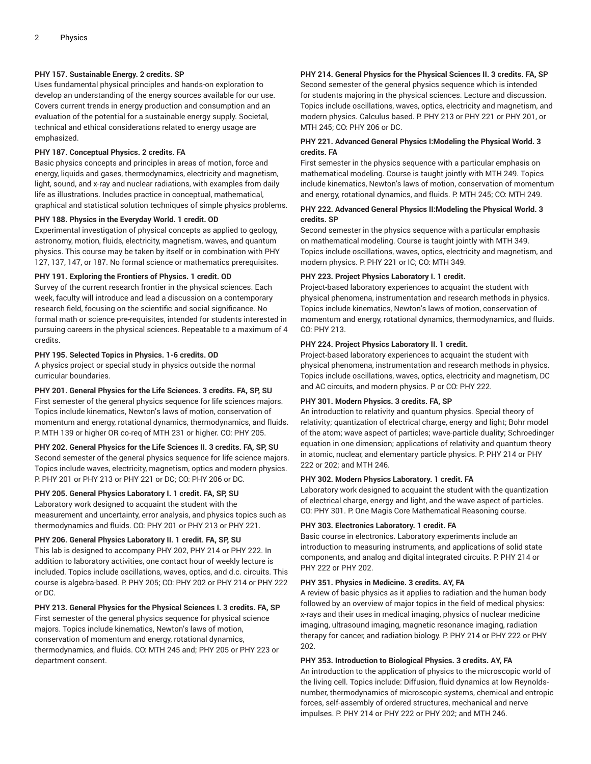# **PHY 157. Sustainable Energy. 2 credits. SP**

Uses fundamental physical principles and hands-on exploration to develop an understanding of the energy sources available for our use. Covers current trends in energy production and consumption and an evaluation of the potential for a sustainable energy supply. Societal, technical and ethical considerations related to energy usage are emphasized.

# **PHY 187. Conceptual Physics. 2 credits. FA**

Basic physics concepts and principles in areas of motion, force and energy, liquids and gases, thermodynamics, electricity and magnetism, light, sound, and x-ray and nuclear radiations, with examples from daily life as illustrations. Includes practice in conceptual, mathematical, graphical and statistical solution techniques of simple physics problems.

#### **PHY 188. Physics in the Everyday World. 1 credit. OD**

Experimental investigation of physical concepts as applied to geology, astronomy, motion, fluids, electricity, magnetism, waves, and quantum physics. This course may be taken by itself or in combination with PHY 127, 137, 147, or 187. No formal science or mathematics prerequisites.

#### **PHY 191. Exploring the Frontiers of Physics. 1 credit. OD**

Survey of the current research frontier in the physical sciences. Each week, faculty will introduce and lead a discussion on a contemporary research field, focusing on the scientific and social significance. No formal math or science pre-requisites, intended for students interested in pursuing careers in the physical sciences. Repeatable to a maximum of 4 credits.

# **PHY 195. Selected Topics in Physics. 1-6 credits. OD**

A physics project or special study in physics outside the normal curricular boundaries.

#### **PHY 201. General Physics for the Life Sciences. 3 credits. FA, SP, SU**

First semester of the general physics sequence for life sciences majors. Topics include kinematics, Newton's laws of motion, conservation of momentum and energy, rotational dynamics, thermodynamics, and fluids. P: MTH 139 or higher OR co-req of MTH 231 or higher. CO: PHY 205.

#### **PHY 202. General Physics for the Life Sciences II. 3 credits. FA, SP, SU**

Second semester of the general physics sequence for life science majors. Topics include waves, electricity, magnetism, optics and modern physics. P: PHY 201 or PHY 213 or PHY 221 or DC; CO: PHY 206 or DC.

#### **PHY 205. General Physics Laboratory I. 1 credit. FA, SP, SU**

Laboratory work designed to acquaint the student with the measurement and uncertainty, error analysis, and physics topics such as thermodynamics and fluids. CO: PHY 201 or PHY 213 or PHY 221.

# **PHY 206. General Physics Laboratory II. 1 credit. FA, SP, SU**

This lab is designed to accompany PHY 202, PHY 214 or PHY 222. In addition to laboratory activities, one contact hour of weekly lecture is included. Topics include oscillations, waves, optics, and d.c. circuits. This course is algebra-based. P: PHY 205; CO: PHY 202 or PHY 214 or PHY 222 or DC.

# **PHY 213. General Physics for the Physical Sciences I. 3 credits. FA, SP**

First semester of the general physics sequence for physical science majors. Topics include kinematics, Newton's laws of motion, conservation of momentum and energy, rotational dynamics, thermodynamics, and fluids. CO: MTH 245 and; PHY 205 or PHY 223 or department consent.

# **PHY 214. General Physics for the Physical Sciences II. 3 credits. FA, SP**

Second semester of the general physics sequence which is intended for students majoring in the physical sciences. Lecture and discussion. Topics include oscillations, waves, optics, electricity and magnetism, and modern physics. Calculus based. P: PHY 213 or PHY 221 or PHY 201, or MTH 245; CO: PHY 206 or DC.

# **PHY 221. Advanced General Physics I:Modeling the Physical World. 3 credits. FA**

First semester in the physics sequence with a particular emphasis on mathematical modeling. Course is taught jointly with MTH 249. Topics include kinematics, Newton's laws of motion, conservation of momentum and energy, rotational dynamics, and fluids. P: MTH 245; CO: MTH 249.

# **PHY 222. Advanced General Physics II:Modeling the Physical World. 3 credits. SP**

Second semester in the physics sequence with a particular emphasis on mathematical modeling. Course is taught jointly with MTH 349. Topics include oscillations, waves, optics, electricity and magnetism, and modern physics. P: PHY 221 or IC; CO: MTH 349.

#### **PHY 223. Project Physics Laboratory I. 1 credit.**

Project-based laboratory experiences to acquaint the student with physical phenomena, instrumentation and research methods in physics. Topics include kinematics, Newton's laws of motion, conservation of momentum and energy, rotational dynamics, thermodynamics, and fluids. CO: PHY 213.

# **PHY 224. Project Physics Laboratory II. 1 credit.**

Project-based laboratory experiences to acquaint the student with physical phenomena, instrumentation and research methods in physics. Topics include oscillations, waves, optics, electricity and magnetism, DC and AC circuits, and modern physics. P or CO: PHY 222.

#### **PHY 301. Modern Physics. 3 credits. FA, SP**

An introduction to relativity and quantum physics. Special theory of relativity; quantization of electrical charge, energy and light; Bohr model of the atom; wave aspect of particles; wave-particle duality; Schroedinger equation in one dimension; applications of relativity and quantum theory in atomic, nuclear, and elementary particle physics. P. PHY 214 or PHY 222 or 202; and MTH 246.

#### **PHY 302. Modern Physics Laboratory. 1 credit. FA**

Laboratory work designed to acquaint the student with the quantization of electrical charge, energy and light, and the wave aspect of particles. CO: PHY 301. P: One Magis Core Mathematical Reasoning course.

#### **PHY 303. Electronics Laboratory. 1 credit. FA**

Basic course in electronics. Laboratory experiments include an introduction to measuring instruments, and applications of solid state components, and analog and digital integrated circuits. P. PHY 214 or PHY 222 or PHY 202.

#### **PHY 351. Physics in Medicine. 3 credits. AY, FA**

A review of basic physics as it applies to radiation and the human body followed by an overview of major topics in the field of medical physics: x-rays and their uses in medical imaging, physics of nuclear medicine imaging, ultrasound imaging, magnetic resonance imaging, radiation therapy for cancer, and radiation biology. P: PHY 214 or PHY 222 or PHY 202.

#### **PHY 353. Introduction to Biological Physics. 3 credits. AY, FA**

An introduction to the application of physics to the microscopic world of the living cell. Topics include: Diffusion, fluid dynamics at low Reynoldsnumber, thermodynamics of microscopic systems, chemical and entropic forces, self-assembly of ordered structures, mechanical and nerve impulses. P: PHY 214 or PHY 222 or PHY 202; and MTH 246.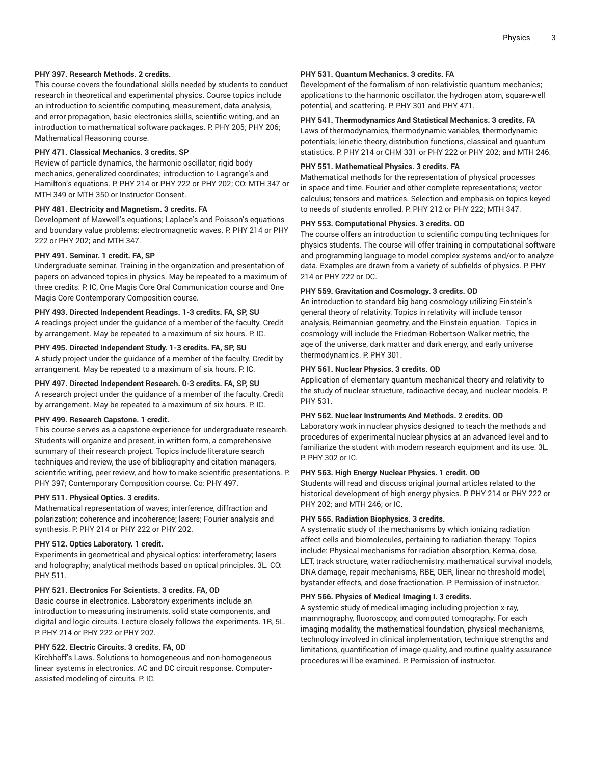# **PHY 397. Research Methods. 2 credits.**

This course covers the foundational skills needed by students to conduct research in theoretical and experimental physics. Course topics include an introduction to scientific computing, measurement, data analysis, and error propagation, basic electronics skills, scientific writing, and an introduction to mathematical software packages. P. PHY 205; PHY 206; Mathematical Reasoning course.

# **PHY 471. Classical Mechanics. 3 credits. SP**

Review of particle dynamics, the harmonic oscillator, rigid body mechanics, generalized coordinates; introduction to Lagrange's and Hamilton's equations. P: PHY 214 or PHY 222 or PHY 202; CO: MTH 347 or MTH 349 or MTH 350 or Instructor Consent.

# **PHY 481. Electricity and Magnetism. 3 credits. FA**

Development of Maxwell's equations; Laplace's and Poisson's equations and boundary value problems; electromagnetic waves. P: PHY 214 or PHY 222 or PHY 202; and MTH 347.

# **PHY 491. Seminar. 1 credit. FA, SP**

Undergraduate seminar. Training in the organization and presentation of papers on advanced topics in physics. May be repeated to a maximum of three credits. P: IC, One Magis Core Oral Communication course and One Magis Core Contemporary Composition course.

# **PHY 493. Directed Independent Readings. 1-3 credits. FA, SP, SU**

A readings project under the guidance of a member of the faculty. Credit by arrangement. May be repeated to a maximum of six hours. P. IC.

# **PHY 495. Directed Independent Study. 1-3 credits. FA, SP, SU**

A study project under the guidance of a member of the faculty. Credit by arrangement. May be repeated to a maximum of six hours. P: IC.

# **PHY 497. Directed Independent Research. 0-3 credits. FA, SP, SU**

A research project under the guidance of a member of the faculty. Credit by arrangement. May be repeated to a maximum of six hours. P: IC.

#### **PHY 499. Research Capstone. 1 credit.**

This course serves as a capstone experience for undergraduate research. Students will organize and present, in written form, a comprehensive summary of their research project. Topics include literature search techniques and review, the use of bibliography and citation managers, scientific writing, peer review, and how to make scientific presentations. P: PHY 397; Contemporary Composition course. Co: PHY 497.

# **PHY 511. Physical Optics. 3 credits.**

Mathematical representation of waves; interference, diffraction and polarization; coherence and incoherence; lasers; Fourier analysis and synthesis. P: PHY 214 or PHY 222 or PHY 202.

# **PHY 512. Optics Laboratory. 1 credit.**

Experiments in geometrical and physical optics: interferometry; lasers and holography; analytical methods based on optical principles. 3L. CO: PHY 511.

# **PHY 521. Electronics For Scientists. 3 credits. FA, OD**

Basic course in electronics. Laboratory experiments include an introduction to measuring instruments, solid state components, and digital and logic circuits. Lecture closely follows the experiments. 1R, 5L. P: PHY 214 or PHY 222 or PHY 202.

# **PHY 522. Electric Circuits. 3 credits. FA, OD**

Kirchhoff's Laws. Solutions to homogeneous and non-homogeneous linear systems in electronics. AC and DC circuit response. Computerassisted modeling of circuits. P. IC.

# **PHY 531. Quantum Mechanics. 3 credits. FA**

Development of the formalism of non-relativistic quantum mechanics; applications to the harmonic oscillator, the hydrogen atom, square-well potential, and scattering. P. PHY 301 and PHY 471.

# **PHY 541. Thermodynamics And Statistical Mechanics. 3 credits. FA**

Laws of thermodynamics, thermodynamic variables, thermodynamic potentials; kinetic theory, distribution functions, classical and quantum statistics. P: PHY 214 or CHM 331 or PHY 222 or PHY 202; and MTH 246.

# **PHY 551. Mathematical Physics. 3 credits. FA**

Mathematical methods for the representation of physical processes in space and time. Fourier and other complete representations; vector calculus; tensors and matrices. Selection and emphasis on topics keyed to needs of students enrolled. P: PHY 212 or PHY 222; MTH 347.

#### **PHY 553. Computational Physics. 3 credits. OD**

The course offers an introduction to scientific computing techniques for physics students. The course will offer training in computational software and programming language to model complex systems and/or to analyze data. Examples are drawn from a variety of subfields of physics. P: PHY 214 or PHY 222 or DC.

# **PHY 559. Gravitation and Cosmology. 3 credits. OD**

An introduction to standard big bang cosmology utilizing Einstein's general theory of relativity. Topics in relativity will include tensor analysis, Reimannian geometry, and the Einstein equation. Topics in cosmology will include the Friedman-Robertson-Walker metric, the age of the universe, dark matter and dark energy, and early universe thermodynamics. P. PHY 301.

#### **PHY 561. Nuclear Physics. 3 credits. OD**

Application of elementary quantum mechanical theory and relativity to the study of nuclear structure, radioactive decay, and nuclear models. P: PHY 531.

# **PHY 562. Nuclear Instruments And Methods. 2 credits. OD**

Laboratory work in nuclear physics designed to teach the methods and procedures of experimental nuclear physics at an advanced level and to familiarize the student with modern research equipment and its use. 3L. P: PHY 302 or IC.

#### **PHY 563. High Energy Nuclear Physics. 1 credit. OD**

Students will read and discuss original journal articles related to the historical development of high energy physics. P. PHY 214 or PHY 222 or PHY 202; and MTH 246; or IC.

#### **PHY 565. Radiation Biophysics. 3 credits.**

A systematic study of the mechanisms by which ionizing radiation affect cells and biomolecules, pertaining to radiation therapy. Topics include: Physical mechanisms for radiation absorption, Kerma, dose, LET, track structure, water radiochemistry, mathematical survival models, DNA damage, repair mechanisms, RBE, OER, linear no-threshold model, bystander effects, and dose fractionation. P: Permission of instructor.

#### **PHY 566. Physics of Medical Imaging I. 3 credits.**

A systemic study of medical imaging including projection x-ray, mammography, fluoroscopy, and computed tomography. For each imaging modality, the mathematical foundation, physical mechanisms, technology involved in clinical implementation, technique strengths and limitations, quantification of image quality, and routine quality assurance procedures will be examined. P: Permission of instructor.